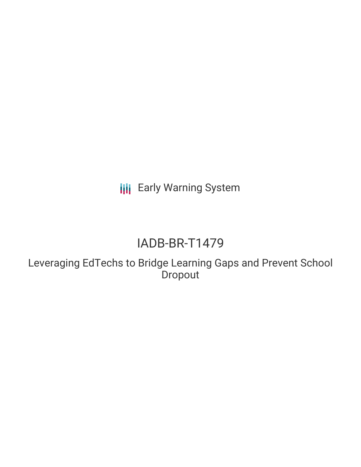**III** Early Warning System

# IADB-BR-T1479

Leveraging EdTechs to Bridge Learning Gaps and Prevent School Dropout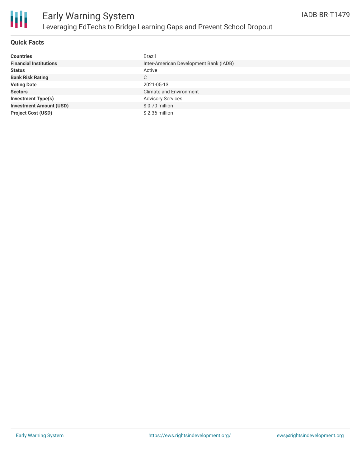

### **Quick Facts**

| <b>Countries</b>               | <b>Brazil</b>                          |
|--------------------------------|----------------------------------------|
| <b>Financial Institutions</b>  | Inter-American Development Bank (IADB) |
| <b>Status</b>                  | Active                                 |
| <b>Bank Risk Rating</b>        | C                                      |
| <b>Voting Date</b>             | 2021-05-13                             |
| <b>Sectors</b>                 | <b>Climate and Environment</b>         |
| Investment Type(s)             | <b>Advisory Services</b>               |
| <b>Investment Amount (USD)</b> | \$0.70 million                         |
| <b>Project Cost (USD)</b>      | \$2.36 million                         |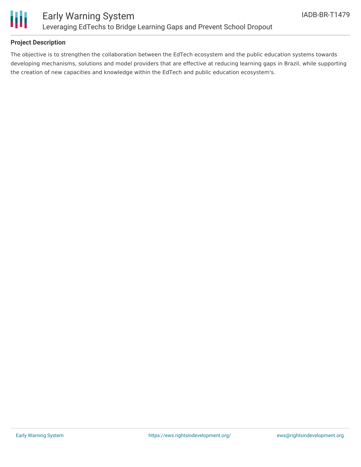

## **Project Description**

The objective is to strengthen the collaboration between the EdTech ecosystem and the public education systems towards developing mechanisms, solutions and model providers that are effective at reducing learning gaps in Brazil, while supporting the creation of new capacities and knowledge within the EdTech and public education ecosystem's.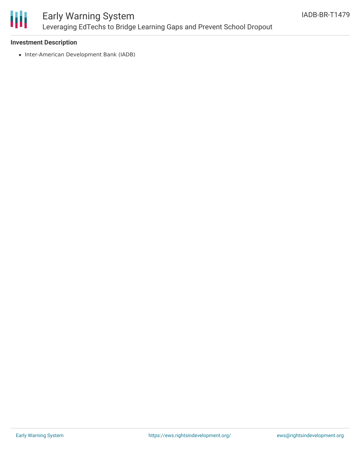

# Early Warning System Leveraging EdTechs to Bridge Learning Gaps and Prevent School Dropout

### **Investment Description**

• Inter-American Development Bank (IADB)